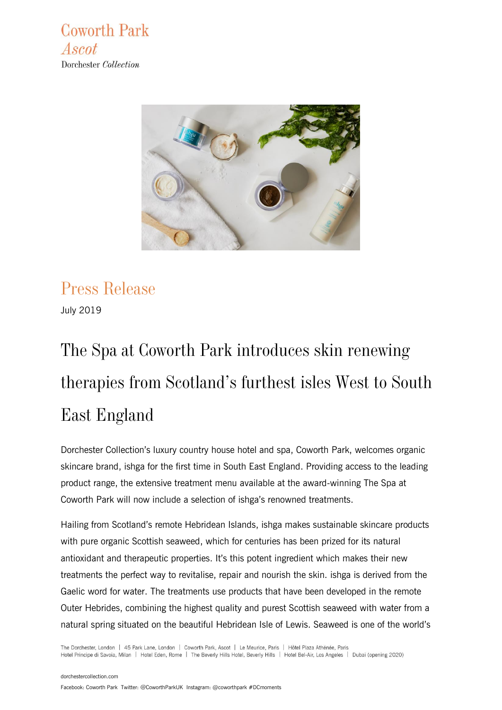**Coworth Park** Ascot Dorchester Collection



*Press Release* July 2019

# *The Spa at Coworth Park introduces skin renewing therapies from Scotland's furthest isles West to South East England*

Dorchester Collection's luxury country house hotel and spa, Coworth Park, welcomes organic skincare brand, ishga for the first time in South East England. Providing access to the leading product range, the extensive treatment menu available at the award-winning The Spa at Coworth Park will now include a selection of ishga's renowned treatments.

Hailing from Scotland's remote Hebridean Islands, ishga makes sustainable skincare products with pure organic Scottish seaweed, which for centuries has been prized for its natural antioxidant and therapeutic properties. It's this potent ingredient which makes their new treatments the perfect way to revitalise, repair and nourish the skin. ishga is derived from the Gaelic word for water. The treatments use products that have been developed in the remote Outer Hebrides, combining the highest quality and purest Scottish seaweed with water from a natural spring situated on the beautiful Hebridean Isle of Lewis. Seaweed is one of the world's

The Dorchester, London | 45 Park Lane, London | Coworth Park, Ascot | Le Meurice, Paris | Hôtel Plaza Athénée, Paris Hotel Principe di Savoia, Milan | Hotel Eden, Rome | The Beverly Hills Hotel, Beverly Hills | Hotel Bel-Air, Los Angeles | Dubai (opening 2020)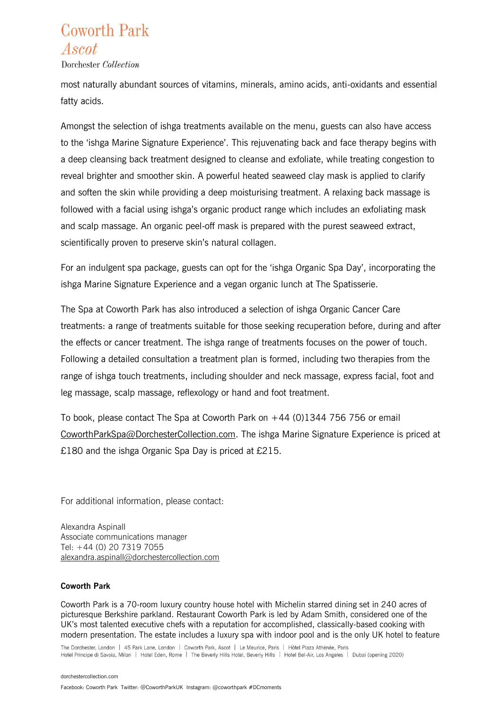### **Coworth Park** Ascot

Dorchester Collection

most naturally abundant sources of vitamins, minerals, amino acids, anti-oxidants and essential fatty acids.

Amongst the selection of ishga treatments available on the menu, guests can also have access to the 'ishga Marine Signature Experience'. This rejuvenating back and face therapy begins with a deep cleansing back treatment designed to cleanse and exfoliate, while treating congestion to reveal brighter and smoother skin. A powerful heated seaweed clay mask is applied to clarify and soften the skin while providing a deep moisturising treatment. A relaxing back massage is followed with a facial using ishga's organic product range which includes an exfoliating mask and scalp massage. An organic peel-off mask is prepared with the purest seaweed extract, scientifically proven to preserve skin's natural collagen.

For an indulgent spa package, guests can opt for the 'ishga Organic Spa Day', incorporating the ishga Marine Signature Experience and a vegan organic lunch at The Spatisserie.

The Spa at Coworth Park has also introduced a selection of ishga Organic Cancer Care treatments: a range of treatments suitable for those seeking recuperation before, during and after the effects or cancer treatment. The ishga range of treatments focuses on the power of touch. Following a detailed consultation a treatment plan is formed, including two therapies from the range of ishga touch treatments, including shoulder and neck massage, express facial, foot and leg massage, scalp massage, reflexology or hand and foot treatment.

To book, please contact The Spa at Coworth Park on +44 (0)1344 756 756 or email [CoworthParkSpa@DorchesterCollection.com.](mailto:CoworthParkSpa@DorchesterCollection.com) The ishga Marine Signature Experience is priced at £180 and the ishga Organic Spa Day is priced at £215.

For additional information, please contact:

Alexandra Aspinall Associate communications manager Tel: +44 (0) 20 7319 7055 [alexandra.aspinall@dorchestercollection.com](mailto:alexandra.aspinall@dorchestercollection.com)

### **Coworth Park**

Coworth Park is a 70-room luxury country house hotel with Michelin starred dining set in 240 acres of picturesque Berkshire parkland. Restaurant Coworth Park is led by Adam Smith, considered one of the UK's most talented executive chefs with a reputation for accomplished, classically-based cooking with modern presentation. The estate includes a luxury spa with indoor pool and is the only UK hotel to feature

The Dorchester, London | 45 Park Lane, London | Coworth Park, Ascot | Le Meurice, Paris | Hôtel Plaza Athénée, Paris Hotel Principe di Savoia, Milan | Hotel Eden, Rome | The Beverly Hills Hotel, Beverly Hills | Hotel Bel-Air, Los Angeles | Dubai (opening 2020)

#### [dorchestercollection.com](http://www.dorchestercollection.com/)

Facebook: Coworth Park Twitter: @CoworthParkUKInstagram: @coworthpark #DCmoments